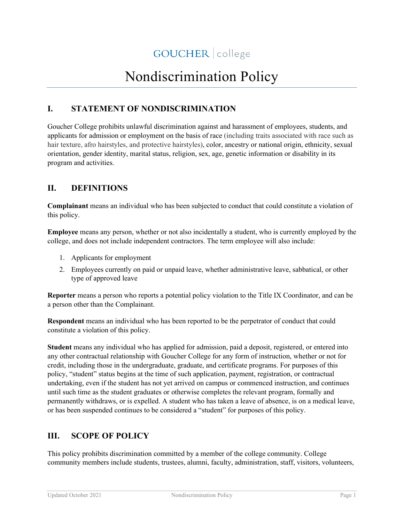# Nondiscrimination Policy

## **I. STATEMENT OF NONDISCRIMINATION**

Goucher College prohibits unlawful discrimination against and harassment of employees, students, and applicants for admission or employment on the basis of race (including traits associated with race such as hair texture, afro hairstyles, and protective hairstyles), color, ancestry or national origin, ethnicity, sexual orientation, gender identity, marital status, religion, sex, age, genetic information or disability in its program and activities.

## **II. DEFINITIONS**

**Complainant** means an individual who has been subjected to conduct that could constitute a violation of this policy.

**Employee** means any person, whether or not also incidentally a student, who is currently employed by the college, and does not include independent contractors. The term employee will also include:

- 1. Applicants for employment
- 2. Employees currently on paid or unpaid leave, whether administrative leave, sabbatical, or other type of approved leave

**Reporter** means a person who reports a potential policy violation to the Title IX Coordinator, and can be a person other than the Complainant.

**Respondent** means an individual who has been reported to be the perpetrator of conduct that could constitute a violation of this policy.

**Student** means any individual who has applied for admission, paid a deposit, registered, or entered into any other contractual relationship with Goucher College for any form of instruction, whether or not for credit, including those in the undergraduate, graduate, and certificate programs. For purposes of this policy, "student" status begins at the time of such application, payment, registration, or contractual undertaking, even if the student has not yet arrived on campus or commenced instruction, and continues until such time as the student graduates or otherwise completes the relevant program, formally and permanently withdraws, or is expelled. A student who has taken a leave of absence, is on a medical leave, or has been suspended continues to be considered a "student" for purposes of this policy.

## **III. SCOPE OF POLICY**

This policy prohibits discrimination committed by a member of the college community. College community members include students, trustees, alumni, faculty, administration, staff, visitors, volunteers,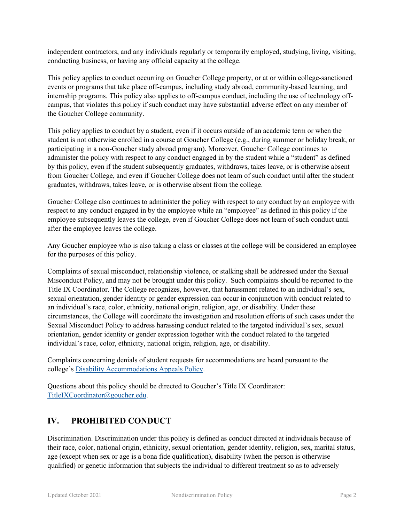independent contractors, and any individuals regularly or temporarily employed, studying, living, visiting, conducting business, or having any official capacity at the college.

This policy applies to conduct occurring on Goucher College property, or at or within college-sanctioned events or programs that take place off-campus, including study abroad, community-based learning, and internship programs. This policy also applies to off-campus conduct, including the use of technology offcampus, that violates this policy if such conduct may have substantial adverse effect on any member of the Goucher College community.

This policy applies to conduct by a student, even if it occurs outside of an academic term or when the student is not otherwise enrolled in a course at Goucher College (e.g., during summer or holiday break, or participating in a non-Goucher study abroad program). Moreover, Goucher College continues to administer the policy with respect to any conduct engaged in by the student while a "student" as defined by this policy, even if the student subsequently graduates, withdraws, takes leave, or is otherwise absent from Goucher College, and even if Goucher College does not learn of such conduct until after the student graduates, withdraws, takes leave, or is otherwise absent from the college.

Goucher College also continues to administer the policy with respect to any conduct by an employee with respect to any conduct engaged in by the employee while an "employee" as defined in this policy if the employee subsequently leaves the college, even if Goucher College does not learn of such conduct until after the employee leaves the college.

Any Goucher employee who is also taking a class or classes at the college will be considered an employee for the purposes of this policy.

Complaints of sexual misconduct, relationship violence, or stalking shall be addressed under the Sexual Misconduct Policy, and may not be brought under this policy. Such complaints should be reported to the Title IX Coordinator. The College recognizes, however, that harassment related to an individual's sex, sexual orientation, gender identity or gender expression can occur in conjunction with conduct related to an individual's race, color, ethnicity, national origin, religion, age, or disability. Under these circumstances, the College will coordinate the investigation and resolution efforts of such cases under the Sexual Misconduct Policy to address harassing conduct related to the targeted individual's sex, sexual orientation, gender identity or gender expression together with the conduct related to the targeted individual's race, color, ethnicity, national origin, religion, age, or disability.

Complaints concerning denials of student requests for accommodations are heard pursuant to the college's [Disability Accommodations Appeals Policy.](http://www.goucher.edu/legal-counsel/documents/Student-Disability-Accommodation-Appeals-Policy.pdf)

Questions about this policy should be directed to Goucher's Title IX Coordinator: [TitleIXCoordinator@goucher.edu.](mailto:TitleIXCoordinator@goucher.edu)

## **IV. PROHIBITED CONDUCT**

Discrimination. Discrimination under this policy is defined as conduct directed at individuals because of their race, color, national origin, ethnicity, sexual orientation, gender identity, religion, sex, marital status, age (except when sex or age is a bona fide qualification), disability (when the person is otherwise qualified) or genetic information that subjects the individual to different treatment so as to adversely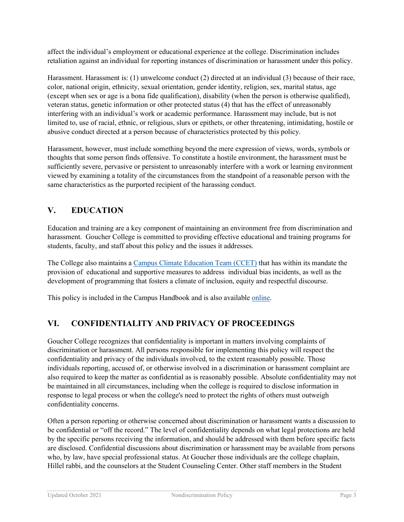affect the individual's employment or educational experience at the college. Discrimination includes retaliation against an individual for reporting instances of discrimination or harassment under this policy.

Harassment. Harassment is: (1) unwelcome conduct (2) directed at an individual (3) because of their race, color, national origin, ethnicity, sexual orientation, gender identity, religion, sex, marital status, age (except when sex or age is a bona fide qualification), disability (when the person is otherwise qualified), veteran status, genetic information or other protected status (4) that has the effect of unreasonably interfering with an individual's work or academic performance. Harassment may include, but is not limited to, use of racial, ethnic, or religious, slurs or epithets, or other threatening, intimidating, hostile or abusive conduct directed at a person because of characteristics protected by this policy.

Harassment, however, must include something beyond the mere expression of views, words, symbols or thoughts that some person finds offensive. To constitute a hostile environment, the harassment must be sufficiently severe, pervasive or persistent to unreasonably interfere with a work or learning environment viewed by examining a totality of the circumstances from the standpoint of a reasonable person with the same characteristics as the purported recipient of the harassing conduct.

## **V. EDUCATION**

Education and training are a key component of maintaining an environment free from discrimination and harassment. Goucher College is committed to providing effective educational and training programs for students, faculty, and staff about this policy and the issues it addresses.

The College also maintains a [Campus Climate Education Team \(CCET\)](https://www.goucher.edu/experience/equity-and-identity/campus-climate-education-team/) that has within its mandate the provision of educational and supportive measures to address individual bias incidents, as well as the development of programming that fosters a climate of inclusion, equity and respectful discourse.

This policy is included in the Campus Handbook and is also available [online.](http://www.goucher.edu/legal-counsel/policies-and-procedures/nondiscrimination-notice-and-policy)

## **VI. CONFIDENTIALITY AND PRIVACY OF PROCEEDINGS**

Goucher College recognizes that confidentiality is important in matters involving complaints of discrimination or harassment. All persons responsible for implementing this policy will respect the confidentiality and privacy of the individuals involved, to the extent reasonably possible. Those individuals reporting, accused of, or otherwise involved in a discrimination or harassment complaint are also required to keep the matter as confidential as is reasonably possible. Absolute confidentiality may not be maintained in all circumstances, including when the college is required to disclose information in response to legal process or when the college's need to protect the rights of others must outweigh confidentiality concerns.

Often a person reporting or otherwise concerned about discrimination or harassment wants a discussion to be confidential or "off the record." The level of confidentiality depends on what legal protections are held by the specific persons receiving the information, and should be addressed with them before specific facts are disclosed. Confidential discussions about discrimination or harassment may be available from persons who, by law, have special professional status. At Goucher those individuals are the college chaplain, Hillel rabbi, and the counselors at the Student Counseling Center. Other staff members in the Student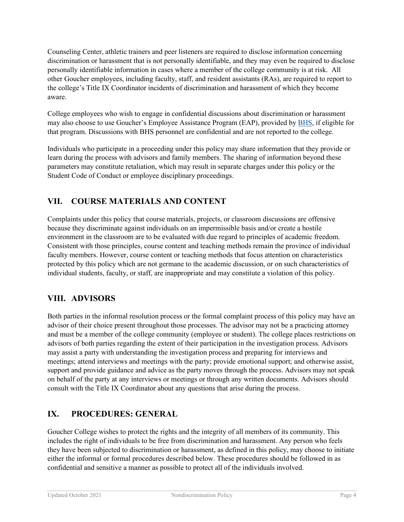Counseling Center, athletic trainers and peer listeners are required to disclose information concerning discrimination or harassment that is not personally identifiable, and they may even be required to disclose personally identifiable information in cases where a member of the college community is at risk. All other Goucher employees, including faculty, staff, and resident assistants (RAs), are required to report to the college's Title IX Coordinator incidents of discrimination and harassment of which they become aware.

College employees who wish to engage in confidential discussions about discrimination or harassment may also choose to use Goucher's Employee Assistance Program (EAP), provided b[y BHS,](https://www.bhsonline.com/) if eligible for that program. Discussions with BHS personnel are confidential and are not reported to the college.

Individuals who participate in a proceeding under this policy may share information that they provide or learn during the process with advisors and family members. The sharing of information beyond these parameters may constitute retaliation, which may result in separate charges under this policy or the Student Code of Conduct or employee disciplinary proceedings.

## **VII. COURSE MATERIALS AND CONTENT**

Complaints under this policy that course materials, projects, or classroom discussions are offensive because they discriminate against individuals on an impermissible basis and/or create a hostile environment in the classroom are to be evaluated with due regard to principles of academic freedom. Consistent with those principles, course content and teaching methods remain the province of individual faculty members. However, course content or teaching methods that focus attention on characteristics protected by this policy which are not germane to the academic discussion, or on such characteristics of individual students, faculty, or staff, are inappropriate and may constitute a violation of this policy.

## **VIII. ADVISORS**

Both parties in the informal resolution process or the formal complaint process of this policy may have an advisor of their choice present throughout those processes. The advisor may not be a practicing attorney and must be a member of the college community (employee or student). The college places restrictions on advisors of both parties regarding the extent of their participation in the investigation process. Advisors may assist a party with understanding the investigation process and preparing for interviews and meetings; attend interviews and meetings with the party; provide emotional support; and otherwise assist, support and provide guidance and advice as the party moves through the process. Advisors may not speak on behalf of the party at any interviews or meetings or through any written documents. Advisors should consult with the Title IX Coordinator about any questions that arise during the process.

## **IX. PROCEDURES: GENERAL**

Goucher College wishes to protect the rights and the integrity of all members of its community. This includes the right of individuals to be free from discrimination and harassment. Any person who feels they have been subjected to discrimination or harassment, as defined in this policy, may choose to initiate either the informal or formal procedures described below. These procedures should be followed in as confidential and sensitive a manner as possible to protect all of the individuals involved.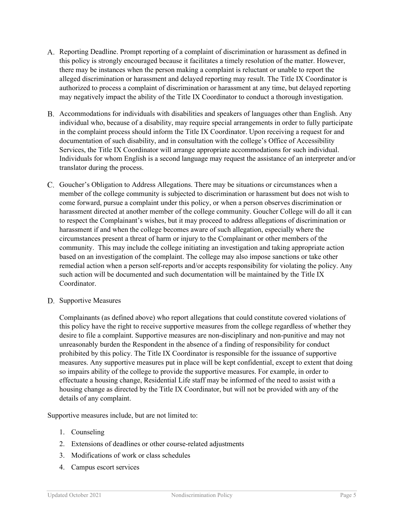- Reporting Deadline. Prompt reporting of a complaint of discrimination or harassment as defined in this policy is strongly encouraged because it facilitates a timely resolution of the matter. However, there may be instances when the person making a complaint is reluctant or unable to report the alleged discrimination or harassment and delayed reporting may result. The Title IX Coordinator is authorized to process a complaint of discrimination or harassment at any time, but delayed reporting may negatively impact the ability of the Title IX Coordinator to conduct a thorough investigation.
- Accommodations for individuals with disabilities and speakers of languages other than English. Any individual who, because of a disability, may require special arrangements in order to fully participate in the complaint process should inform the Title IX Coordinator. Upon receiving a request for and documentation of such disability, and in consultation with the college's Office of Accessibility Services, the Title IX Coordinator will arrange appropriate accommodations for such individual. Individuals for whom English is a second language may request the assistance of an interpreter and/or translator during the process.
- Goucher's Obligation to Address Allegations. There may be situations or circumstances when a member of the college community is subjected to discrimination or harassment but does not wish to come forward, pursue a complaint under this policy, or when a person observes discrimination or harassment directed at another member of the college community. Goucher College will do all it can to respect the Complainant's wishes, but it may proceed to address allegations of discrimination or harassment if and when the college becomes aware of such allegation, especially where the circumstances present a threat of harm or injury to the Complainant or other members of the community. This may include the college initiating an investigation and taking appropriate action based on an investigation of the complaint. The college may also impose sanctions or take other remedial action when a person self-reports and/or accepts responsibility for violating the policy. Any such action will be documented and such documentation will be maintained by the Title IX Coordinator.
- D. Supportive Measures

Complainants (as defined above) who report allegations that could constitute covered violations of this policy have the right to receive supportive measures from the college regardless of whether they desire to file a complaint. Supportive measures are non-disciplinary and non-punitive and may not unreasonably burden the Respondent in the absence of a finding of responsibility for conduct prohibited by this policy. The Title IX Coordinator is responsible for the issuance of supportive measures. Any supportive measures put in place will be kept confidential, except to extent that doing so impairs ability of the college to provide the supportive measures. For example, in order to effectuate a housing change, Residential Life staff may be informed of the need to assist with a housing change as directed by the Title IX Coordinator, but will not be provided with any of the details of any complaint.

Supportive measures include, but are not limited to:

- 1. Counseling
- 2. Extensions of deadlines or other course-related adjustments
- 3. Modifications of work or class schedules
- 4. Campus escort services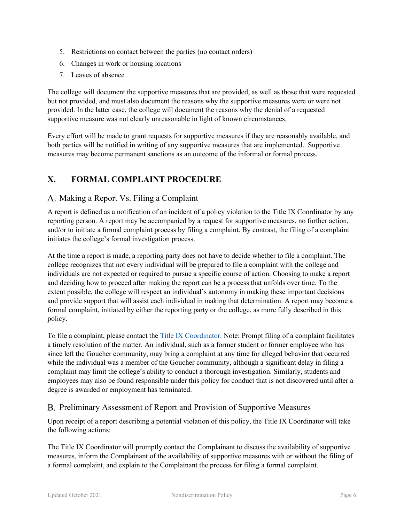- 5. Restrictions on contact between the parties (no contact orders)
- 6. Changes in work or housing locations
- 7. Leaves of absence

The college will document the supportive measures that are provided, as well as those that were requested but not provided, and must also document the reasons why the supportive measures were or were not provided. In the latter case, the college will document the reasons why the denial of a requested supportive measure was not clearly unreasonable in light of known circumstances.

Every effort will be made to grant requests for supportive measures if they are reasonably available, and both parties will be notified in writing of any supportive measures that are implemented. Supportive measures may become permanent sanctions as an outcome of the informal or formal process.

## **X. FORMAL COMPLAINT PROCEDURE**

#### A. Making a Report Vs. Filing a Complaint

A report is defined as a notification of an incident of a policy violation to the Title IX Coordinator by any reporting person. A report may be accompanied by a request for supportive measures, no further action, and/or to initiate a formal complaint process by filing a complaint. By contrast, the filing of a complaint initiates the college's formal investigation process.

At the time a report is made, a reporting party does not have to decide whether to file a complaint. The college recognizes that not every individual will be prepared to file a complaint with the college and individuals are not expected or required to pursue a specific course of action. Choosing to make a report and deciding how to proceed after making the report can be a process that unfolds over time. To the extent possible, the college will respect an individual's autonomy in making these important decisions and provide support that will assist each individual in making that determination. A report may become a formal complaint, initiated by either the reporting party or the college, as more fully described in this policy.

To file a complaint, please contact the [Title IX Coordinator.](mailto:TitleIXCoordinator@goucher.edu) Note: Prompt filing of a complaint facilitates a timely resolution of the matter. An individual, such as a former student or former employee who has since left the Goucher community, may bring a complaint at any time for alleged behavior that occurred while the individual was a member of the Goucher community, although a significant delay in filing a complaint may limit the college's ability to conduct a thorough investigation. Similarly, students and employees may also be found responsible under this policy for conduct that is not discovered until after a degree is awarded or employment has terminated.

#### B. Preliminary Assessment of Report and Provision of Supportive Measures

Upon receipt of a report describing a potential violation of this policy, the Title IX Coordinator will take the following actions:

The Title IX Coordinator will promptly contact the Complainant to discuss the availability of supportive measures, inform the Complainant of the availability of supportive measures with or without the filing of a formal complaint, and explain to the Complainant the process for filing a formal complaint.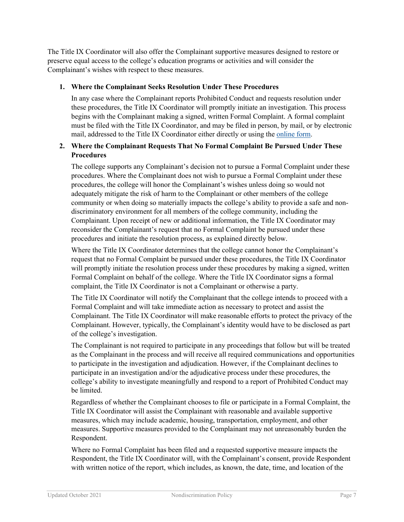The Title IX Coordinator will also offer the Complainant supportive measures designed to restore or preserve equal access to the college's education programs or activities and will consider the Complainant's wishes with respect to these measures.

#### **1. Where the Complainant Seeks Resolution Under These Procedures**

In any case where the Complainant reports Prohibited Conduct and requests resolution under these procedures, the Title IX Coordinator will promptly initiate an investigation. This process begins with the Complainant making a signed, written Formal Complaint. A formal complaint must be filed with the Title IX Coordinator, and may be filed in person, by mail, or by electronic mail, addressed to the Title IX Coordinator either directly or using the [online form.](https://www.goucher.edu/policies/nondiscrimination-notice-and-policy)

#### **2. Where the Complainant Requests That No Formal Complaint Be Pursued Under These Procedures**

The college supports any Complainant's decision not to pursue a Formal Complaint under these procedures. Where the Complainant does not wish to pursue a Formal Complaint under these procedures, the college will honor the Complainant's wishes unless doing so would not adequately mitigate the risk of harm to the Complainant or other members of the college community or when doing so materially impacts the college's ability to provide a safe and nondiscriminatory environment for all members of the college community, including the Complainant. Upon receipt of new or additional information, the Title IX Coordinator may reconsider the Complainant's request that no Formal Complaint be pursued under these procedures and initiate the resolution process, as explained directly below.

Where the Title IX Coordinator determines that the college cannot honor the Complainant's request that no Formal Complaint be pursued under these procedures, the Title IX Coordinator will promptly initiate the resolution process under these procedures by making a signed, written Formal Complaint on behalf of the college. Where the Title IX Coordinator signs a formal complaint, the Title IX Coordinator is not a Complainant or otherwise a party.

The Title IX Coordinator will notify the Complainant that the college intends to proceed with a Formal Complaint and will take immediate action as necessary to protect and assist the Complainant. The Title IX Coordinator will make reasonable efforts to protect the privacy of the Complainant. However, typically, the Complainant's identity would have to be disclosed as part of the college's investigation.

The Complainant is not required to participate in any proceedings that follow but will be treated as the Complainant in the process and will receive all required communications and opportunities to participate in the investigation and adjudication. However, if the Complainant declines to participate in an investigation and/or the adjudicative process under these procedures, the college's ability to investigate meaningfully and respond to a report of Prohibited Conduct may be limited.

Regardless of whether the Complainant chooses to file or participate in a Formal Complaint, the Title IX Coordinator will assist the Complainant with reasonable and available supportive measures, which may include academic, housing, transportation, employment, and other measures. Supportive measures provided to the Complainant may not unreasonably burden the Respondent.

Where no Formal Complaint has been filed and a requested supportive measure impacts the Respondent, the Title IX Coordinator will, with the Complainant's consent, provide Respondent with written notice of the report, which includes, as known, the date, time, and location of the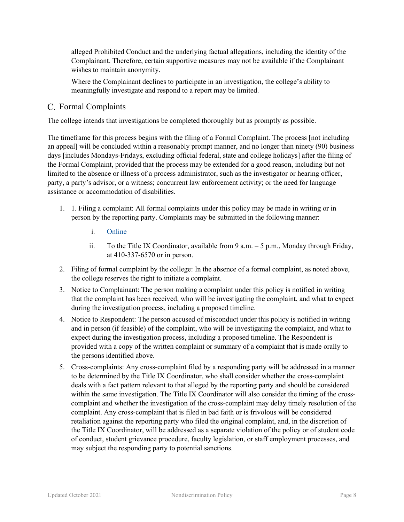alleged Prohibited Conduct and the underlying factual allegations, including the identity of the Complainant. Therefore, certain supportive measures may not be available if the Complainant wishes to maintain anonymity.

Where the Complainant declines to participate in an investigation, the college's ability to meaningfully investigate and respond to a report may be limited.

#### C. Formal Complaints

The college intends that investigations be completed thoroughly but as promptly as possible.

The timeframe for this process begins with the filing of a Formal Complaint. The process [not including an appeal] will be concluded within a reasonably prompt manner, and no longer than ninety (90) business days [includes Mondays-Fridays, excluding official federal, state and college holidays] after the filing of the Formal Complaint, provided that the process may be extended for a good reason, including but not limited to the absence or illness of a process administrator, such as the investigator or hearing officer, party, a party's advisor, or a witness; concurrent law enforcement activity; or the need for language assistance or accommodation of disabilities.

- 1. 1. Filing a complaint: All formal complaints under this policy may be made in writing or in person by the reporting party. Complaints may be submitted in the following manner:
	- i. [Online](https://www.goucher.edu/title-ix/sexual-assault-and-misconduct/reporting-an-incident/making-a-formal-disciplinary-complaint/file-a-formal-complaint-of-sexual-relationship-violence-or-stalking)
	- ii. To the Title IX Coordinator, available from 9 a.m. 5 p.m., Monday through Friday, at 410-337-6570 or in person.
- 2. Filing of formal complaint by the college: In the absence of a formal complaint, as noted above, the college reserves the right to initiate a complaint.
- 3. Notice to Complainant: The person making a complaint under this policy is notified in writing that the complaint has been received, who will be investigating the complaint, and what to expect during the investigation process, including a proposed timeline.
- 4. Notice to Respondent: The person accused of misconduct under this policy is notified in writing and in person (if feasible) of the complaint, who will be investigating the complaint, and what to expect during the investigation process, including a proposed timeline. The Respondent is provided with a copy of the written complaint or summary of a complaint that is made orally to the persons identified above.
- 5. Cross-complaints: Any cross-complaint filed by a responding party will be addressed in a manner to be determined by the Title IX Coordinator, who shall consider whether the cross-complaint deals with a fact pattern relevant to that alleged by the reporting party and should be considered within the same investigation. The Title IX Coordinator will also consider the timing of the crosscomplaint and whether the investigation of the cross-complaint may delay timely resolution of the complaint. Any cross-complaint that is filed in bad faith or is frivolous will be considered retaliation against the reporting party who filed the original complaint, and, in the discretion of the Title IX Coordinator, will be addressed as a separate violation of the policy or of student code of conduct, student grievance procedure, faculty legislation, or staff employment processes, and may subject the responding party to potential sanctions.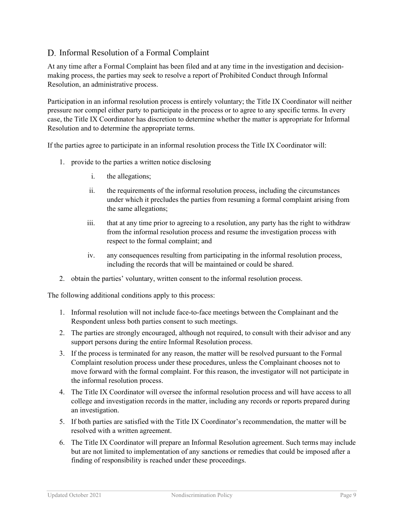## D. Informal Resolution of a Formal Complaint

At any time after a Formal Complaint has been filed and at any time in the investigation and decisionmaking process, the parties may seek to resolve a report of Prohibited Conduct through Informal Resolution, an administrative process.

Participation in an informal resolution process is entirely voluntary; the Title IX Coordinator will neither pressure nor compel either party to participate in the process or to agree to any specific terms. In every case, the Title IX Coordinator has discretion to determine whether the matter is appropriate for Informal Resolution and to determine the appropriate terms.

If the parties agree to participate in an informal resolution process the Title IX Coordinator will:

- 1. provide to the parties a written notice disclosing
	- i. the allegations;
	- ii. the requirements of the informal resolution process, including the circumstances under which it precludes the parties from resuming a formal complaint arising from the same allegations;
	- iii. that at any time prior to agreeing to a resolution, any party has the right to withdraw from the informal resolution process and resume the investigation process with respect to the formal complaint; and
	- iv. any consequences resulting from participating in the informal resolution process, including the records that will be maintained or could be shared.
- 2. obtain the parties' voluntary, written consent to the informal resolution process.

The following additional conditions apply to this process:

- 1. Informal resolution will not include face-to-face meetings between the Complainant and the Respondent unless both parties consent to such meetings.
- 2. The parties are strongly encouraged, although not required, to consult with their advisor and any support persons during the entire Informal Resolution process.
- 3. If the process is terminated for any reason, the matter will be resolved pursuant to the Formal Complaint resolution process under these procedures, unless the Complainant chooses not to move forward with the formal complaint. For this reason, the investigator will not participate in the informal resolution process.
- 4. The Title IX Coordinator will oversee the informal resolution process and will have access to all college and investigation records in the matter, including any records or reports prepared during an investigation.
- 5. If both parties are satisfied with the Title IX Coordinator's recommendation, the matter will be resolved with a written agreement.
- 6. The Title IX Coordinator will prepare an Informal Resolution agreement. Such terms may include but are not limited to implementation of any sanctions or remedies that could be imposed after a finding of responsibility is reached under these proceedings.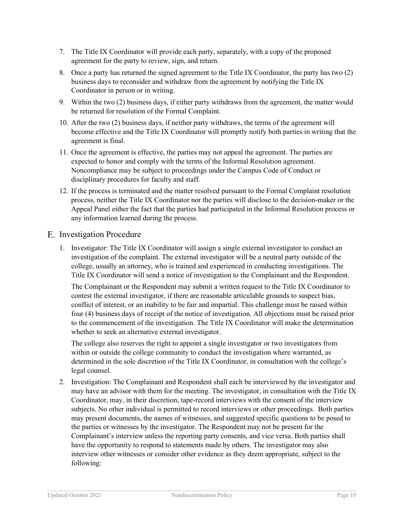- 7. The Title IX Coordinator will provide each party, separately, with a copy of the proposed agreement for the party to review, sign, and return.
- 8. Once a party has returned the signed agreement to the Title IX Coordinator, the party has two (2) business days to reconsider and withdraw from the agreement by notifying the Title IX Coordinator in person or in writing.
- 9. Within the two (2) business days, if either party withdraws from the agreement, the matter would be returned for resolution of the Formal Complaint.
- 10. After the two (2) business days, if neither party withdraws, the terms of the agreement will become effective and the Title IX Coordinator will promptly notify both parties in writing that the agreement is final.
- 11. Once the agreement is effective, the parties may not appeal the agreement. The parties are expected to honor and comply with the terms of the Informal Resolution agreement. Noncompliance may be subject to proceedings under the Campus Code of Conduct or disciplinary procedures for faculty and staff.
- 12. If the process is terminated and the matter resolved pursuant to the Formal Complaint resolution process, neither the Title IX Coordinator nor the parties will disclose to the decision-maker or the Appeal Panel either the fact that the parties had participated in the Informal Resolution process or any information learned during the process.

#### E. Investigation Procedure

1. Investigator: The Title IX Coordinator will assign a single external investigator to conduct an investigation of the complaint. The external investigator will be a neutral party outside of the college, usually an attorney, who is trained and experienced in conducting investigations. The Title IX Coordinator will send a notice of investigation to the Complainant and the Respondent.

The Complainant or the Respondent may submit a written request to the Title IX Coordinator to contest the external investigator, if there are reasonable articulable grounds to suspect bias, conflict of interest, or an inability to be fair and impartial. This challenge must be raised within four (4) business days of receipt of the notice of investigation. All objections must be raised prior to the commencement of the investigation. The Title IX Coordinator will make the determination whether to seek an alternative external investigator.

The college also reserves the right to appoint a single investigator or two investigators from within or outside the college community to conduct the investigation where warranted, as determined in the sole discretion of the Title IX Coordinator, in consultation with the college's legal counsel.

2. Investigation: The Complainant and Respondent shall each be interviewed by the investigator and may have an advisor with them for the meeting. The investigator, in consultation with the Title IX Coordinator, may, in their discretion, tape-record interviews with the consent of the interview subjects. No other individual is permitted to record interviews or other proceedings. Both parties may present documents, the names of witnesses, and suggested specific questions to be posed to the parties or witnesses by the investigator. The Respondent may not be present for the Complainant's interview unless the reporting party consents, and vice versa. Both parties shall have the opportunity to respond to statements made by others. The investigator may also interview other witnesses or consider other evidence as they deem appropriate, subject to the following: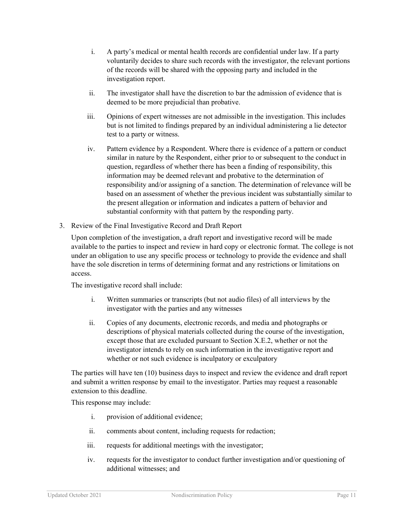- i. A party's medical or mental health records are confidential under law. If a party voluntarily decides to share such records with the investigator, the relevant portions of the records will be shared with the opposing party and included in the investigation report.
- ii. The investigator shall have the discretion to bar the admission of evidence that is deemed to be more prejudicial than probative.
- iii. Opinions of expert witnesses are not admissible in the investigation. This includes but is not limited to findings prepared by an individual administering a lie detector test to a party or witness.
- iv. Pattern evidence by a Respondent. Where there is evidence of a pattern or conduct similar in nature by the Respondent, either prior to or subsequent to the conduct in question, regardless of whether there has been a finding of responsibility, this information may be deemed relevant and probative to the determination of responsibility and/or assigning of a sanction. The determination of relevance will be based on an assessment of whether the previous incident was substantially similar to the present allegation or information and indicates a pattern of behavior and substantial conformity with that pattern by the responding party.
- 3. Review of the Final Investigative Record and Draft Report

Upon completion of the investigation, a draft report and investigative record will be made available to the parties to inspect and review in hard copy or electronic format. The college is not under an obligation to use any specific process or technology to provide the evidence and shall have the sole discretion in terms of determining format and any restrictions or limitations on access.

The investigative record shall include:

- i. Written summaries or transcripts (but not audio files) of all interviews by the investigator with the parties and any witnesses
- ii. Copies of any documents, electronic records, and media and photographs or descriptions of physical materials collected during the course of the investigation, except those that are excluded pursuant to Section X.E.2, whether or not the investigator intends to rely on such information in the investigative report and whether or not such evidence is inculpatory or exculpatory

The parties will have ten (10) business days to inspect and review the evidence and draft report and submit a written response by email to the investigator. Parties may request a reasonable extension to this deadline.

This response may include:

- i. provision of additional evidence;
- ii. comments about content, including requests for redaction;
- iii. requests for additional meetings with the investigator;
- iv. requests for the investigator to conduct further investigation and/or questioning of additional witnesses; and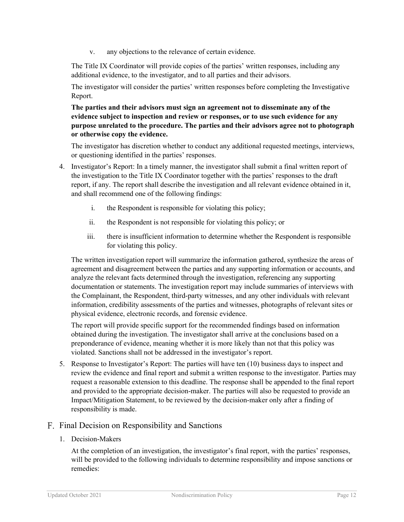v. any objections to the relevance of certain evidence.

The Title IX Coordinator will provide copies of the parties' written responses, including any additional evidence, to the investigator, and to all parties and their advisors.

The investigator will consider the parties' written responses before completing the Investigative Report.

**The parties and their advisors must sign an agreement not to disseminate any of the evidence subject to inspection and review or responses, or to use such evidence for any purpose unrelated to the procedure. The parties and their advisors agree not to photograph or otherwise copy the evidence.** 

The investigator has discretion whether to conduct any additional requested meetings, interviews, or questioning identified in the parties' responses.

- 4. Investigator's Report: In a timely manner, the investigator shall submit a final written report of the investigation to the Title IX Coordinator together with the parties' responses to the draft report, if any. The report shall describe the investigation and all relevant evidence obtained in it, and shall recommend one of the following findings:
	- i. the Respondent is responsible for violating this policy;
	- ii. the Respondent is not responsible for violating this policy; or
	- iii. there is insufficient information to determine whether the Respondent is responsible for violating this policy.

The written investigation report will summarize the information gathered, synthesize the areas of agreement and disagreement between the parties and any supporting information or accounts, and analyze the relevant facts determined through the investigation, referencing any supporting documentation or statements. The investigation report may include summaries of interviews with the Complainant, the Respondent, third-party witnesses, and any other individuals with relevant information, credibility assessments of the parties and witnesses, photographs of relevant sites or physical evidence, electronic records, and forensic evidence.

The report will provide specific support for the recommended findings based on information obtained during the investigation. The investigator shall arrive at the conclusions based on a preponderance of evidence, meaning whether it is more likely than not that this policy was violated. Sanctions shall not be addressed in the investigator's report.

5. Response to Investigator's Report: The parties will have ten (10) business days to inspect and review the evidence and final report and submit a written response to the investigator. Parties may request a reasonable extension to this deadline. The response shall be appended to the final report and provided to the appropriate decision-maker. The parties will also be requested to provide an Impact/Mitigation Statement, to be reviewed by the decision-maker only after a finding of responsibility is made.

#### Final Decision on Responsibility and Sanctions

1. Decision-Makers

At the completion of an investigation, the investigator's final report, with the parties' responses, will be provided to the following individuals to determine responsibility and impose sanctions or remedies: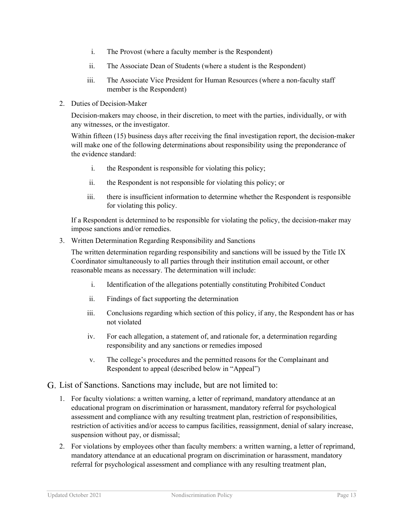- i. The Provost (where a faculty member is the Respondent)
- ii. The Associate Dean of Students (where a student is the Respondent)
- iii. The Associate Vice President for Human Resources (where a non-faculty staff member is the Respondent)
- 2. Duties of Decision-Maker

Decision-makers may choose, in their discretion, to meet with the parties, individually, or with any witnesses, or the investigator.

Within fifteen (15) business days after receiving the final investigation report, the decision-maker will make one of the following determinations about responsibility using the preponderance of the evidence standard:

- i. the Respondent is responsible for violating this policy;
- ii. the Respondent is not responsible for violating this policy; or
- iii. there is insufficient information to determine whether the Respondent is responsible for violating this policy.

If a Respondent is determined to be responsible for violating the policy, the decision-maker may impose sanctions and/or remedies.

3. Written Determination Regarding Responsibility and Sanctions

The written determination regarding responsibility and sanctions will be issued by the Title IX Coordinator simultaneously to all parties through their institution email account, or other reasonable means as necessary. The determination will include:

- i. Identification of the allegations potentially constituting Prohibited Conduct
- ii. Findings of fact supporting the determination
- iii. Conclusions regarding which section of this policy, if any, the Respondent has or has not violated
- iv. For each allegation, a statement of, and rationale for, a determination regarding responsibility and any sanctions or remedies imposed
- v. The college's procedures and the permitted reasons for the Complainant and Respondent to appeal (described below in "Appeal")
- List of Sanctions. Sanctions may include, but are not limited to:
	- 1. For faculty violations: a written warning, a letter of reprimand, mandatory attendance at an educational program on discrimination or harassment, mandatory referral for psychological assessment and compliance with any resulting treatment plan, restriction of responsibilities, restriction of activities and/or access to campus facilities, reassignment, denial of salary increase, suspension without pay, or dismissal;
	- 2. For violations by employees other than faculty members: a written warning, a letter of reprimand, mandatory attendance at an educational program on discrimination or harassment, mandatory referral for psychological assessment and compliance with any resulting treatment plan,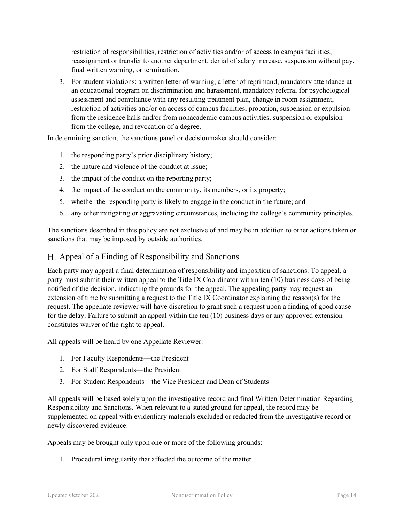restriction of responsibilities, restriction of activities and/or of access to campus facilities, reassignment or transfer to another department, denial of salary increase, suspension without pay, final written warning, or termination.

3. For student violations: a written letter of warning, a letter of reprimand, mandatory attendance at an educational program on discrimination and harassment, mandatory referral for psychological assessment and compliance with any resulting treatment plan, change in room assignment, restriction of activities and/or on access of campus facilities, probation, suspension or expulsion from the residence halls and/or from nonacademic campus activities, suspension or expulsion from the college, and revocation of a degree.

In determining sanction, the sanctions panel or decisionmaker should consider:

- 1. the responding party's prior disciplinary history;
- 2. the nature and violence of the conduct at issue;
- 3. the impact of the conduct on the reporting party;
- 4. the impact of the conduct on the community, its members, or its property;
- 5. whether the responding party is likely to engage in the conduct in the future; and
- 6. any other mitigating or aggravating circumstances, including the college's community principles.

The sanctions described in this policy are not exclusive of and may be in addition to other actions taken or sanctions that may be imposed by outside authorities.

#### Appeal of a Finding of Responsibility and Sanctions

Each party may appeal a final determination of responsibility and imposition of sanctions. To appeal, a party must submit their written appeal to the Title IX Coordinator within ten (10) business days of being notified of the decision, indicating the grounds for the appeal. The appealing party may request an extension of time by submitting a request to the Title IX Coordinator explaining the reason(s) for the request. The appellate reviewer will have discretion to grant such a request upon a finding of good cause for the delay. Failure to submit an appeal within the ten (10) business days or any approved extension constitutes waiver of the right to appeal.

All appeals will be heard by one Appellate Reviewer:

- 1. For Faculty Respondents—the President
- 2. For Staff Respondents—the President
- 3. For Student Respondents—the Vice President and Dean of Students

All appeals will be based solely upon the investigative record and final Written Determination Regarding Responsibility and Sanctions. When relevant to a stated ground for appeal, the record may be supplemented on appeal with evidentiary materials excluded or redacted from the investigative record or newly discovered evidence.

Appeals may be brought only upon one or more of the following grounds:

1. Procedural irregularity that affected the outcome of the matter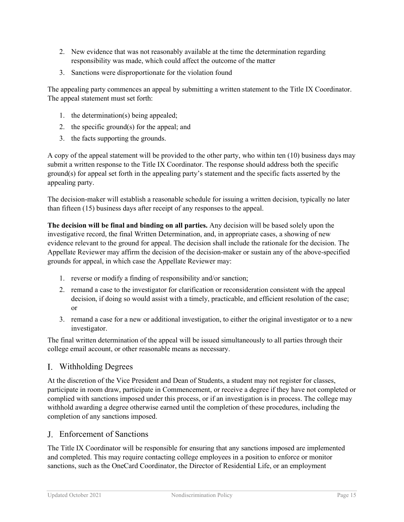- 2. New evidence that was not reasonably available at the time the determination regarding responsibility was made, which could affect the outcome of the matter
- 3. Sanctions were disproportionate for the violation found

The appealing party commences an appeal by submitting a written statement to the Title IX Coordinator. The appeal statement must set forth:

- 1. the determination(s) being appealed;
- 2. the specific ground(s) for the appeal; and
- 3. the facts supporting the grounds.

A copy of the appeal statement will be provided to the other party, who within ten (10) business days may submit a written response to the Title IX Coordinator. The response should address both the specific ground(s) for appeal set forth in the appealing party's statement and the specific facts asserted by the appealing party.

The decision-maker will establish a reasonable schedule for issuing a written decision, typically no later than fifteen (15) business days after receipt of any responses to the appeal.

**The decision will be final and binding on all parties.** Any decision will be based solely upon the investigative record, the final Written Determination, and, in appropriate cases, a showing of new evidence relevant to the ground for appeal. The decision shall include the rationale for the decision. The Appellate Reviewer may affirm the decision of the decision-maker or sustain any of the above-specified grounds for appeal, in which case the Appellate Reviewer may:

- 1. reverse or modify a finding of responsibility and/or sanction;
- 2. remand a case to the investigator for clarification or reconsideration consistent with the appeal decision, if doing so would assist with a timely, practicable, and efficient resolution of the case; or
- 3. remand a case for a new or additional investigation, to either the original investigator or to a new investigator.

The final written determination of the appeal will be issued simultaneously to all parties through their college email account, or other reasonable means as necessary.

#### Withholding Degrees

At the discretion of the Vice President and Dean of Students, a student may not register for classes, participate in room draw, participate in Commencement, or receive a degree if they have not completed or complied with sanctions imposed under this process, or if an investigation is in process. The college may withhold awarding a degree otherwise earned until the completion of these procedures, including the completion of any sanctions imposed.

#### Enforcement of Sanctions

The Title IX Coordinator will be responsible for ensuring that any sanctions imposed are implemented and completed. This may require contacting college employees in a position to enforce or monitor sanctions, such as the OneCard Coordinator, the Director of Residential Life, or an employment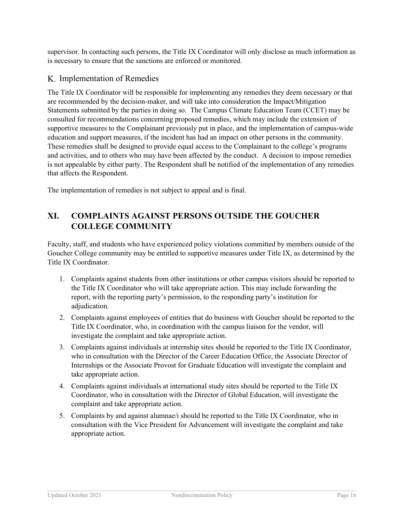supervisor. In contacting such persons, the Title IX Coordinator will only disclose as much information as is necessary to ensure that the sanctions are enforced or monitored.

## K. Implementation of Remedies

The Title IX Coordinator will be responsible for implementing any remedies they deem necessary or that are recommended by the decision-maker, and will take into consideration the Impact/Mitigation Statements submitted by the parties in doing so. The Campus Climate Education Team (CCET) may be consulted for recommendations concerning proposed remedies, which may include the extension of supportive measures to the Complainant previously put in place, and the implementation of campus-wide education and support measures, if the incident has had an impact on other persons in the community. These remedies shall be designed to provide equal access to the Complainant to the college's programs and activities, and to others who may have been affected by the conduct. A decision to impose remedies is not appealable by either party. The Respondent shall be notified of the implementation of any remedies that affects the Respondent.

The implementation of remedies is not subject to appeal and is final.

## **XI. COMPLAINTS AGAINST PERSONS OUTSIDE THE GOUCHER COLLEGE COMMUNITY**

Faculty, staff, and students who have experienced policy violations committed by members outside of the Goucher College community may be entitled to supportive measures under Title IX, as determined by the Title IX Coordinator.

- 1. Complaints against students from other institutions or other campus visitors should be reported to the Title IX Coordinator who will take appropriate action. This may include forwarding the report, with the reporting party's permission, to the responding party's institution for adjudication.
- 2. Complaints against employees of entities that do business with Goucher should be reported to the Title IX Coordinator, who, in coordination with the campus liaison for the vendor, will investigate the complaint and take appropriate action.
- 3. Complaints against individuals at internship sites should be reported to the Title IX Coordinator, who in consultation with the Director of the Career Education Office, the Associate Director of Internships or the Associate Provost for Graduate Education will investigate the complaint and take appropriate action.
- 4. Complaints against individuals at international study sites should be reported to the Title IX Coordinator, who in consultation with the Director of Global Education, will investigate the complaint and take appropriate action.
- 5. Complaints by and against alumnae/i should be reported to the Title IX Coordinator, who in consultation with the Vice President for Advancement will investigate the complaint and take appropriate action.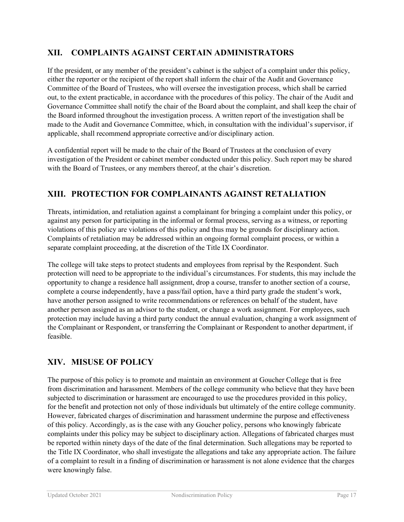## **XII. COMPLAINTS AGAINST CERTAIN ADMINISTRATORS**

If the president, or any member of the president's cabinet is the subject of a complaint under this policy, either the reporter or the recipient of the report shall inform the chair of the Audit and Governance Committee of the Board of Trustees, who will oversee the investigation process, which shall be carried out, to the extent practicable, in accordance with the procedures of this policy. The chair of the Audit and Governance Committee shall notify the chair of the Board about the complaint, and shall keep the chair of the Board informed throughout the investigation process. A written report of the investigation shall be made to the Audit and Governance Committee, which, in consultation with the individual's supervisor, if applicable, shall recommend appropriate corrective and/or disciplinary action.

A confidential report will be made to the chair of the Board of Trustees at the conclusion of every investigation of the President or cabinet member conducted under this policy. Such report may be shared with the Board of Trustees, or any members thereof, at the chair's discretion.

## **XIII. PROTECTION FOR COMPLAINANTS AGAINST RETALIATION**

Threats, intimidation, and retaliation against a complainant for bringing a complaint under this policy, or against any person for participating in the informal or formal process, serving as a witness, or reporting violations of this policy are violations of this policy and thus may be grounds for disciplinary action. Complaints of retaliation may be addressed within an ongoing formal complaint process, or within a separate complaint proceeding, at the discretion of the Title IX Coordinator.

The college will take steps to protect students and employees from reprisal by the Respondent. Such protection will need to be appropriate to the individual's circumstances. For students, this may include the opportunity to change a residence hall assignment, drop a course, transfer to another section of a course, complete a course independently, have a pass/fail option, have a third party grade the student's work, have another person assigned to write recommendations or references on behalf of the student, have another person assigned as an advisor to the student, or change a work assignment. For employees, such protection may include having a third party conduct the annual evaluation, changing a work assignment of the Complainant or Respondent, or transferring the Complainant or Respondent to another department, if feasible.

## **XIV. MISUSE OF POLICY**

The purpose of this policy is to promote and maintain an environment at Goucher College that is free from discrimination and harassment. Members of the college community who believe that they have been subjected to discrimination or harassment are encouraged to use the procedures provided in this policy, for the benefit and protection not only of those individuals but ultimately of the entire college community. However, fabricated charges of discrimination and harassment undermine the purpose and effectiveness of this policy. Accordingly, as is the case with any Goucher policy, persons who knowingly fabricate complaints under this policy may be subject to disciplinary action. Allegations of fabricated charges must be reported within ninety days of the date of the final determination. Such allegations may be reported to the Title IX Coordinator, who shall investigate the allegations and take any appropriate action. The failure of a complaint to result in a finding of discrimination or harassment is not alone evidence that the charges were knowingly false.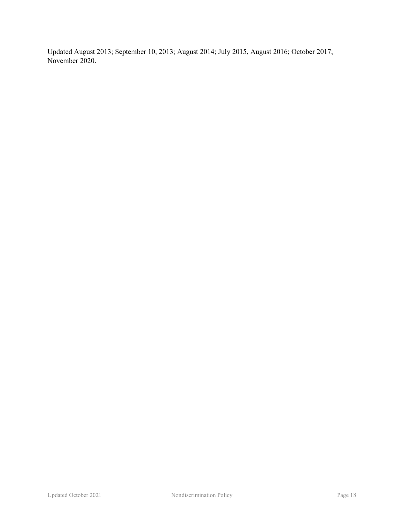Updated August 2013; September 10, 2013; August 2014; July 2015, August 2016; October 2017; November 2020.